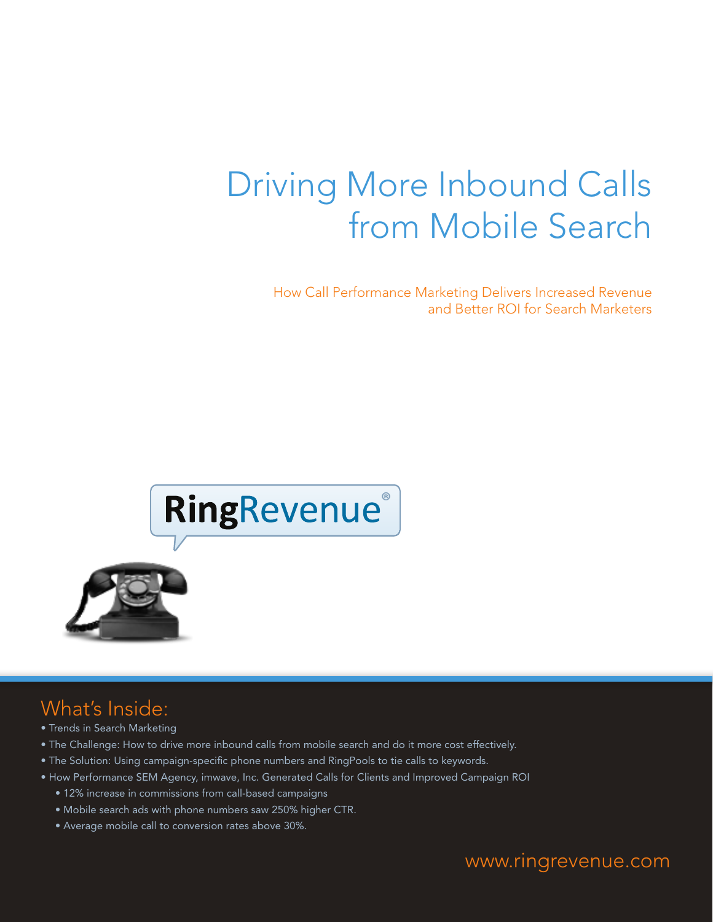# Driving More Inbound Calls from Mobile Search

How Call Performance Marketing Delivers Increased Revenue and Better ROI for Search Marketers



# What's Inside:

- Trends in Search Marketing
- The Challenge: How to drive more inbound calls from mobile search and do it more cost effectively.
- The Solution: Using campaign-specific phone numbers and RingPools to tie calls to keywords.
- How Performance SEM Agency, imwave, Inc. Generated Calls for Clients and Improved Campaign ROI
	- 12% increase in commissions from call-based campaigns
	- Mobile search ads with phone numbers saw 250% higher CTR.
	- Average mobile call to conversion rates above 30%.

www.ringrevenue.com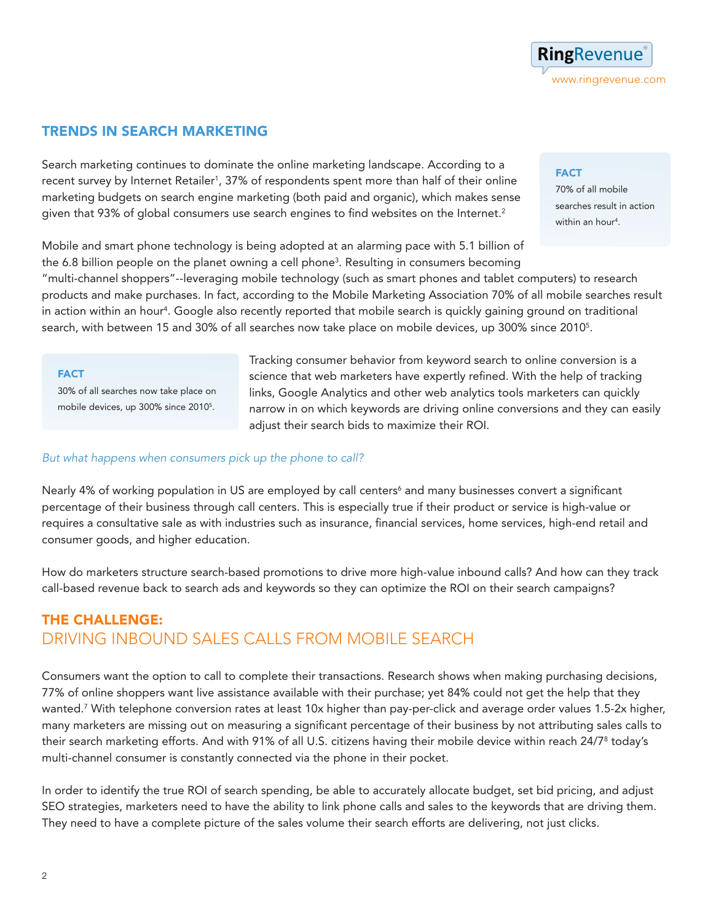

### TRENDS IN SEARCH MARKETING

Search marketing continues to dominate the online marketing landscape. According to a recent survey by Internet Retailer<sup>1</sup>, 37% of respondents spent more than half of their online marketing budgets on search engine marketing (both paid and organic), which makes sense given that 93% of global consumers use search engines to find websites on the Internet.<sup>2</sup>

Mobile and smart phone technology is being adopted at an alarming pace with 5.1 billion of the 6.8 billion people on the planet owning a cell phone<sup>3</sup>. Resulting in consumers becoming

"multi-channel shoppers"--leveraging mobile technology (such as smart phones and tablet computers) to research products and make purchases. In fact, according to the Mobile Marketing Association 70% of all mobile searches result in action within an hour<sup>4</sup>. Google also recently reported that mobile search is quickly gaining ground on traditional search, with between 15 and 30% of all searches now take place on mobile devices, up 300% since 20105 .

#### FACT

30% of all searches now take place on mobile devices, up 300% since 20105 .

Tracking consumer behavior from keyword search to online conversion is a science that web marketers have expertly refined. With the help of tracking links, Google Analytics and other web analytics tools marketers can quickly narrow in on which keywords are driving online conversions and they can easily adjust their search bids to maximize their ROI.

### *But what happens when consumers pick up the phone to call?*

Nearly 4% of working population in US are employed by call centers<sup>6</sup> and many businesses convert a significant percentage of their business through call centers. This is especially true if their product or service is high-value or requires a consultative sale as with industries such as insurance, financial services, home services, high-end retail and consumer goods, and higher education.

How do marketers structure search-based promotions to drive more high-value inbound calls? And how can they track call-based revenue back to search ads and keywords so they can optimize the ROI on their search campaigns?

### THE CHALLENGE: DRIVING INBOUND SALES CALLS FROM MOBILE SEARCH

Consumers want the option to call to complete their transactions. Research shows when making purchasing decisions, 77% of online shoppers want live assistance available with their purchase; yet 84% could not get the help that they wanted.7 With telephone conversion rates at least 10x higher than pay-per-click and average order values 1.5-2x higher, many marketers are missing out on measuring a significant percentage of their business by not attributing sales calls to their search marketing efforts. And with 91% of all U.S. citizens having their mobile device within reach 24/78 today's multi-channel consumer is constantly connected via the phone in their pocket.

In order to identify the true ROI of search spending, be able to accurately allocate budget, set bid pricing, and adjust SEO strategies, marketers need to have the ability to link phone calls and sales to the keywords that are driving them. They need to have a complete picture of the sales volume their search efforts are delivering, not just clicks.

### **FACT**

70% of all mobile searches result in action within an hour<sup>4</sup> .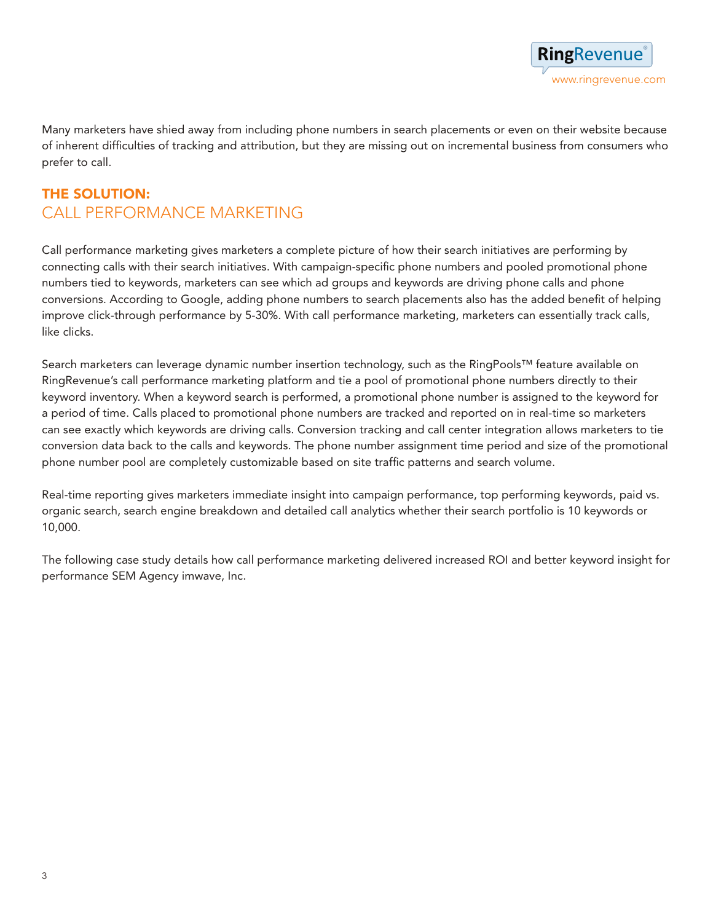Many marketers have shied away from including phone numbers in search placements or even on their website because of inherent difficulties of tracking and attribution, but they are missing out on incremental business from consumers who prefer to call.

## THE Solution: CALL PERFORMANCE MARKETING

Call performance marketing gives marketers a complete picture of how their search initiatives are performing by connecting calls with their search initiatives. With campaign-specific phone numbers and pooled promotional phone numbers tied to keywords, marketers can see which ad groups and keywords are driving phone calls and phone conversions. According to Google, adding phone numbers to search placements also has the added benefit of helping improve click-through performance by 5-30%. With call performance marketing, marketers can essentially track calls, like clicks.

Search marketers can leverage dynamic number insertion technology, such as the RingPools™ feature available on RingRevenue's call performance marketing platform and tie a pool of promotional phone numbers directly to their keyword inventory. When a keyword search is performed, a promotional phone number is assigned to the keyword for a period of time. Calls placed to promotional phone numbers are tracked and reported on in real-time so marketers can see exactly which keywords are driving calls. Conversion tracking and call center integration allows marketers to tie conversion data back to the calls and keywords. The phone number assignment time period and size of the promotional phone number pool are completely customizable based on site traffic patterns and search volume.

Real-time reporting gives marketers immediate insight into campaign performance, top performing keywords, paid vs. organic search, search engine breakdown and detailed call analytics whether their search portfolio is 10 keywords or 10,000.

The following case study details how call performance marketing delivered increased ROI and better keyword insight for performance SEM Agency imwave, Inc.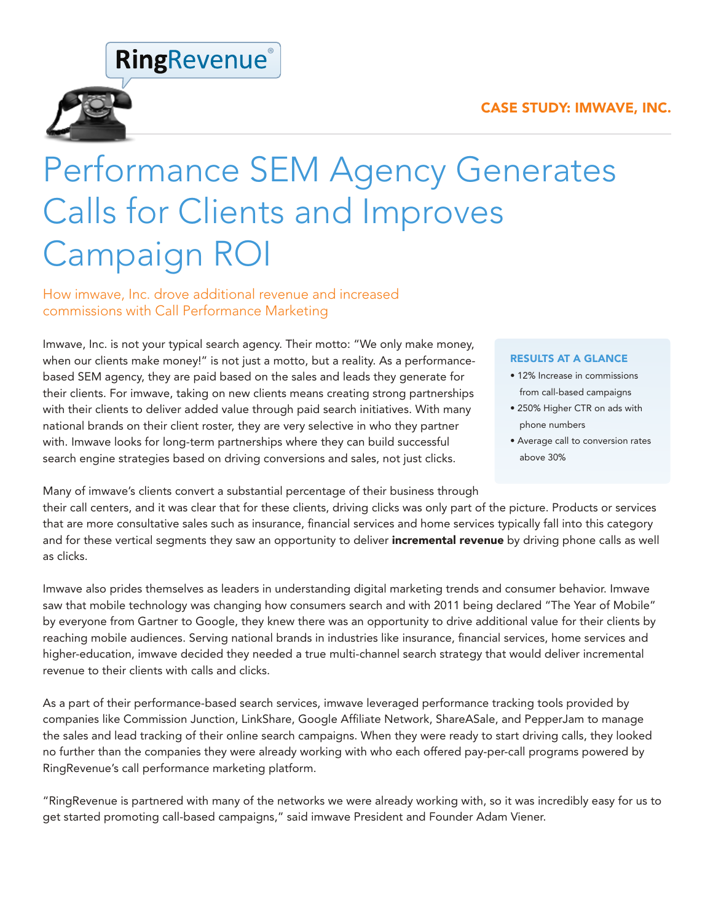### CASE STUDY: imwave, Inc.

# **RingRevenue**®



# Performance SEM Agency Generates Calls for Clients and Improves Campaign ROI

How imwave, Inc. drove additional revenue and increased commissions with Call Performance Marketing

Imwave, Inc. is not your typical search agency. Their motto: "We only make money, when our clients make money!" is not just a motto, but a reality. As a performancebased SEM agency, they are paid based on the sales and leads they generate for their clients. For imwave, taking on new clients means creating strong partnerships with their clients to deliver added value through paid search initiatives. With many national brands on their client roster, they are very selective in who they partner with. Imwave looks for long-term partnerships where they can build successful search engine strategies based on driving conversions and sales, not just clicks.

#### RESULTS AT A GLANCE

- 12% Increase in commissions from call-based campaigns
- 250% Higher CTR on ads with phone numbers
- Average call to conversion rates above 30%

Many of imwave's clients convert a substantial percentage of their business through

their call centers, and it was clear that for these clients, driving clicks was only part of the picture. Products or services that are more consultative sales such as insurance, financial services and home services typically fall into this category and for these vertical segments they saw an opportunity to deliver incremental revenue by driving phone calls as well as clicks.

Imwave also prides themselves as leaders in understanding digital marketing trends and consumer behavior. Imwave saw that mobile technology was changing how consumers search and with 2011 being declared "The Year of Mobile" by everyone from Gartner to Google, they knew there was an opportunity to drive additional value for their clients by reaching mobile audiences. Serving national brands in industries like insurance, financial services, home services and higher-education, imwave decided they needed a true multi-channel search strategy that would deliver incremental revenue to their clients with calls and clicks.

As a part of their performance-based search services, imwave leveraged performance tracking tools provided by companies like Commission Junction, LinkShare, Google Affiliate Network, ShareASale, and PepperJam to manage the sales and lead tracking of their online search campaigns. When they were ready to start driving calls, they looked no further than the companies they were already working with who each offered pay-per-call programs powered by RingRevenue's call performance marketing platform.

"RingRevenue is partnered with many of the networks we were already working with, so it was incredibly easy for us to get started promoting call-based campaigns," said imwave President and Founder Adam Viener.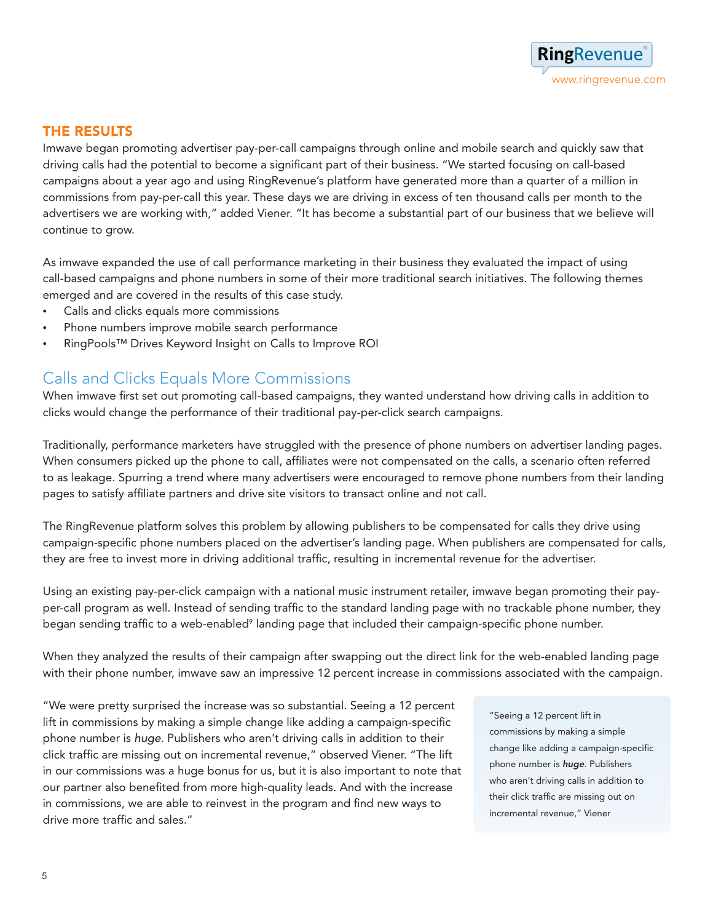

### THE Results

Imwave began promoting advertiser pay-per-call campaigns through online and mobile search and quickly saw that driving calls had the potential to become a significant part of their business. "We started focusing on call-based campaigns about a year ago and using RingRevenue's platform have generated more than a quarter of a million in commissions from pay-per-call this year. These days we are driving in excess of ten thousand calls per month to the advertisers we are working with," added Viener. "It has become a substantial part of our business that we believe will continue to grow.

As imwave expanded the use of call performance marketing in their business they evaluated the impact of using call-based campaigns and phone numbers in some of their more traditional search initiatives. The following themes emerged and are covered in the results of this case study.

- • Calls and clicks equals more commissions
- Phone numbers improve mobile search performance
- RingPools™ Drives Keyword Insight on Calls to Improve ROI

## Calls and Clicks Equals More Commissions

When imwave first set out promoting call-based campaigns, they wanted understand how driving calls in addition to clicks would change the performance of their traditional pay-per-click search campaigns.

Traditionally, performance marketers have struggled with the presence of phone numbers on advertiser landing pages. When consumers picked up the phone to call, affiliates were not compensated on the calls, a scenario often referred to as leakage. Spurring a trend where many advertisers were encouraged to remove phone numbers from their landing pages to satisfy affiliate partners and drive site visitors to transact online and not call.

The RingRevenue platform solves this problem by allowing publishers to be compensated for calls they drive using campaign-specific phone numbers placed on the advertiser's landing page. When publishers are compensated for calls, they are free to invest more in driving additional traffic, resulting in incremental revenue for the advertiser.

Using an existing pay-per-click campaign with a national music instrument retailer, imwave began promoting their payper-call program as well. Instead of sending traffic to the standard landing page with no trackable phone number, they began sending traffic to a web-enabled<sup>9</sup> landing page that included their campaign-specific phone number.

When they analyzed the results of their campaign after swapping out the direct link for the web-enabled landing page with their phone number, imwave saw an impressive 12 percent increase in commissions associated with the campaign.

"We were pretty surprised the increase was so substantial. Seeing a 12 percent lift in commissions by making a simple change like adding a campaign-specific phone number is *huge*. Publishers who aren't driving calls in addition to their click traffic are missing out on incremental revenue," observed Viener. "The lift in our commissions was a huge bonus for us, but it is also important to note that our partner also benefited from more high-quality leads. And with the increase in commissions, we are able to reinvest in the program and find new ways to drive more traffic and sales."

"Seeing a 12 percent lift in commissions by making a simple change like adding a campaign-specific phone number is *huge*. Publishers who aren't driving calls in addition to their click traffic are missing out on incremental revenue," Viener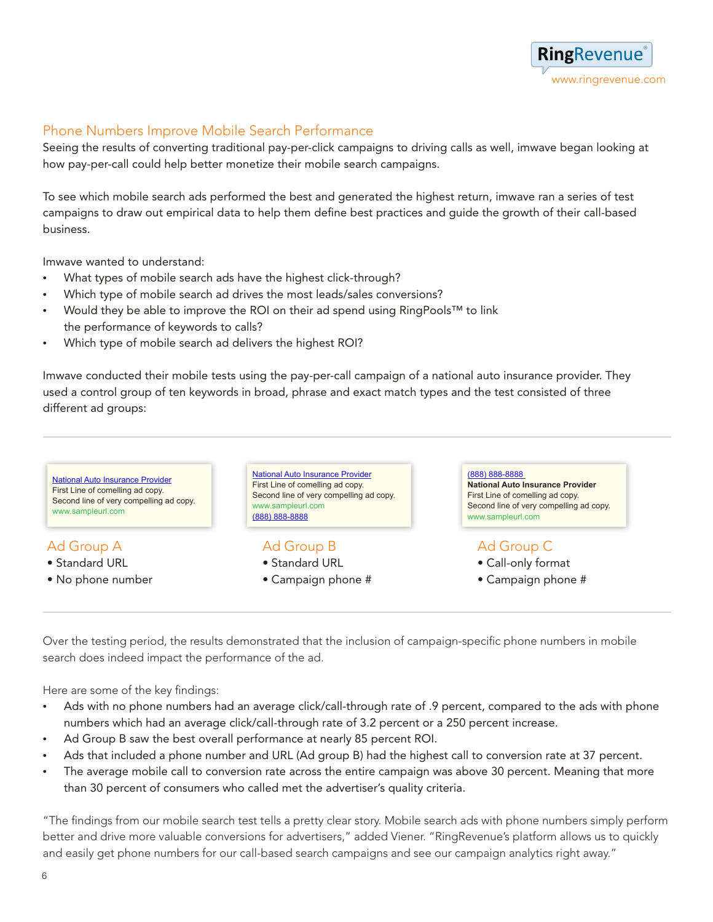

### Phone Numbers Improve Mobile Search Performance

Seeing the results of converting traditional pay-per-click campaigns to driving calls as well, imwave began looking at how pay-per-call could help better monetize their mobile search campaigns.

To see which mobile search ads performed the best and generated the highest return, imwave ran a series of test campaigns to draw out empirical data to help them define best practices and guide the growth of their call-based business.

Imwave wanted to understand:

- What types of mobile search ads have the highest click-through?
- Which type of mobile search ad drives the most leads/sales conversions?
- • Would they be able to improve the ROI on their ad spend using RingPools™ to link the performance of keywords to calls?
- Which type of mobile search ad delivers the highest ROI?

Imwave conducted their mobile tests using the pay-per-call campaign of a national auto insurance provider. They used a control group of ten keywords in broad, phrase and exact match types and the test consisted of three different ad groups:



Over the testing period, the results demonstrated that the inclusion of campaign-specific phone numbers in mobile search does indeed impact the performance of the ad.

Here are some of the key findings:

- Ads with no phone numbers had an average click/call-through rate of .9 percent, compared to the ads with phone numbers which had an average click/call-through rate of 3.2 percent or a 250 percent increase.
- Ad Group B saw the best overall performance at nearly 85 percent ROI.
- Ads that included a phone number and URL (Ad group B) had the highest call to conversion rate at 37 percent.
- The average mobile call to conversion rate across the entire campaign was above 30 percent. Meaning that more than 30 percent of consumers who called met the advertiser's quality criteria.

"The findings from our mobile search test tells a pretty clear story. Mobile search ads with phone numbers simply perform better and drive more valuable conversions for advertisers," added Viener. "RingRevenue's platform allows us to quickly and easily get phone numbers for our call-based search campaigns and see our campaign analytics right away."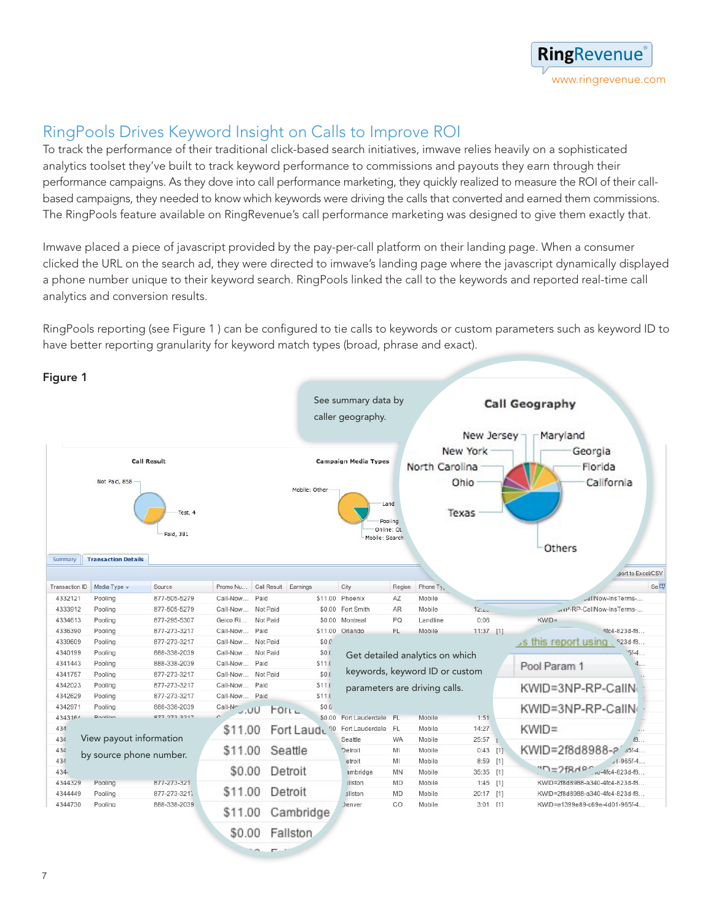

# RingPools Drives Keyword Insight on Calls to Improve ROI

To track the performance of their traditional click-based search initiatives, imwave relies heavily on a sophisticated analytics toolset they've built to track keyword performance to commissions and payouts they earn through their performance campaigns. As they dove into call performance marketing, they quickly realized to measure the ROI of their callbased campaigns, they needed to know which keywords were driving the calls that converted and earned them commissions. The RingPools feature available on RingRevenue's call performance marketing was designed to give them exactly that.

Imwave placed a piece of javascript provided by the pay-per-call platform on their landing page. When a consumer clicked the URL on the search ad, they were directed to imwave's landing page where the javascript dynamically displayed a phone number unique to their keyword search. RingPools linked the call to the keywords and reported real-time call analytics and conversion results.

RingPools reporting (see Figure 1 ) can be configured to tie calls to keywords or custom parameters such as keyword ID to have better reporting granularity for keyword match types (broad, phrase and exact).

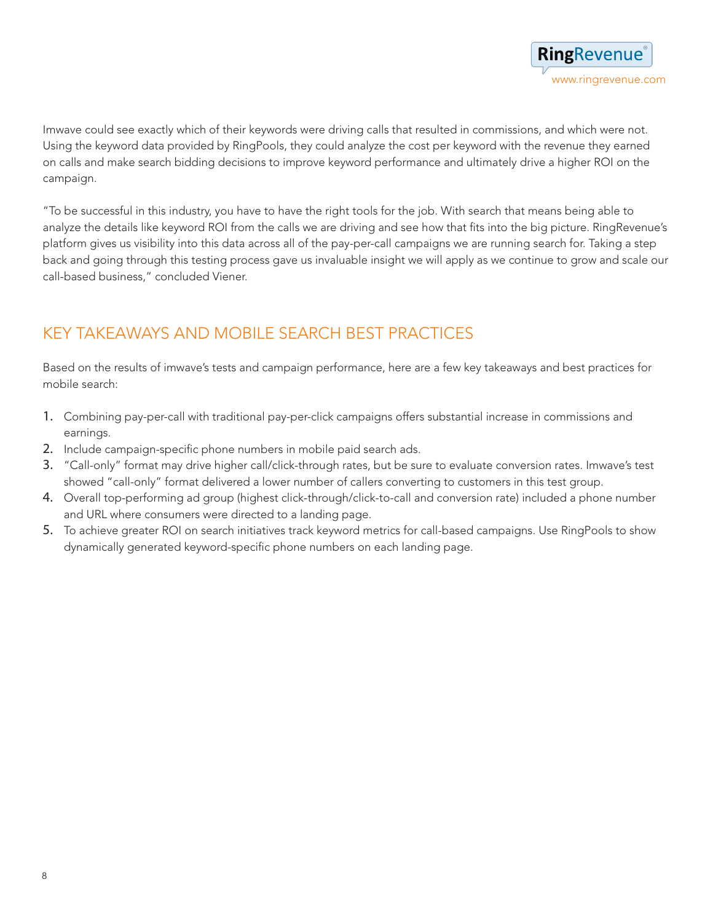Imwave could see exactly which of their keywords were driving calls that resulted in commissions, and which were not. Using the keyword data provided by RingPools, they could analyze the cost per keyword with the revenue they earned on calls and make search bidding decisions to improve keyword performance and ultimately drive a higher ROI on the campaign.

"To be successful in this industry, you have to have the right tools for the job. With search that means being able to analyze the details like keyword ROI from the calls we are driving and see how that fits into the big picture. RingRevenue's platform gives us visibility into this data across all of the pay-per-call campaigns we are running search for. Taking a step back and going through this testing process gave us invaluable insight we will apply as we continue to grow and scale our call-based business," concluded Viener.

# KEY TAKEAWAYS AND MOBILE SEARCH BEST PRACTICES

Based on the results of imwave's tests and campaign performance, here are a few key takeaways and best practices for mobile search:

- 1. Combining pay-per-call with traditional pay-per-click campaigns offers substantial increase in commissions and earnings.
- 2. Include campaign-specific phone numbers in mobile paid search ads.
- 3. "Call-only" format may drive higher call/click-through rates, but be sure to evaluate conversion rates. Imwave's test showed "call-only" format delivered a lower number of callers converting to customers in this test group.
- 4. Overall top-performing ad group (highest click-through/click-to-call and conversion rate) included a phone number and URL where consumers were directed to a landing page.
- 5. To achieve greater ROI on search initiatives track keyword metrics for call-based campaigns. Use RingPools to show dynamically generated keyword-specific phone numbers on each landing page.